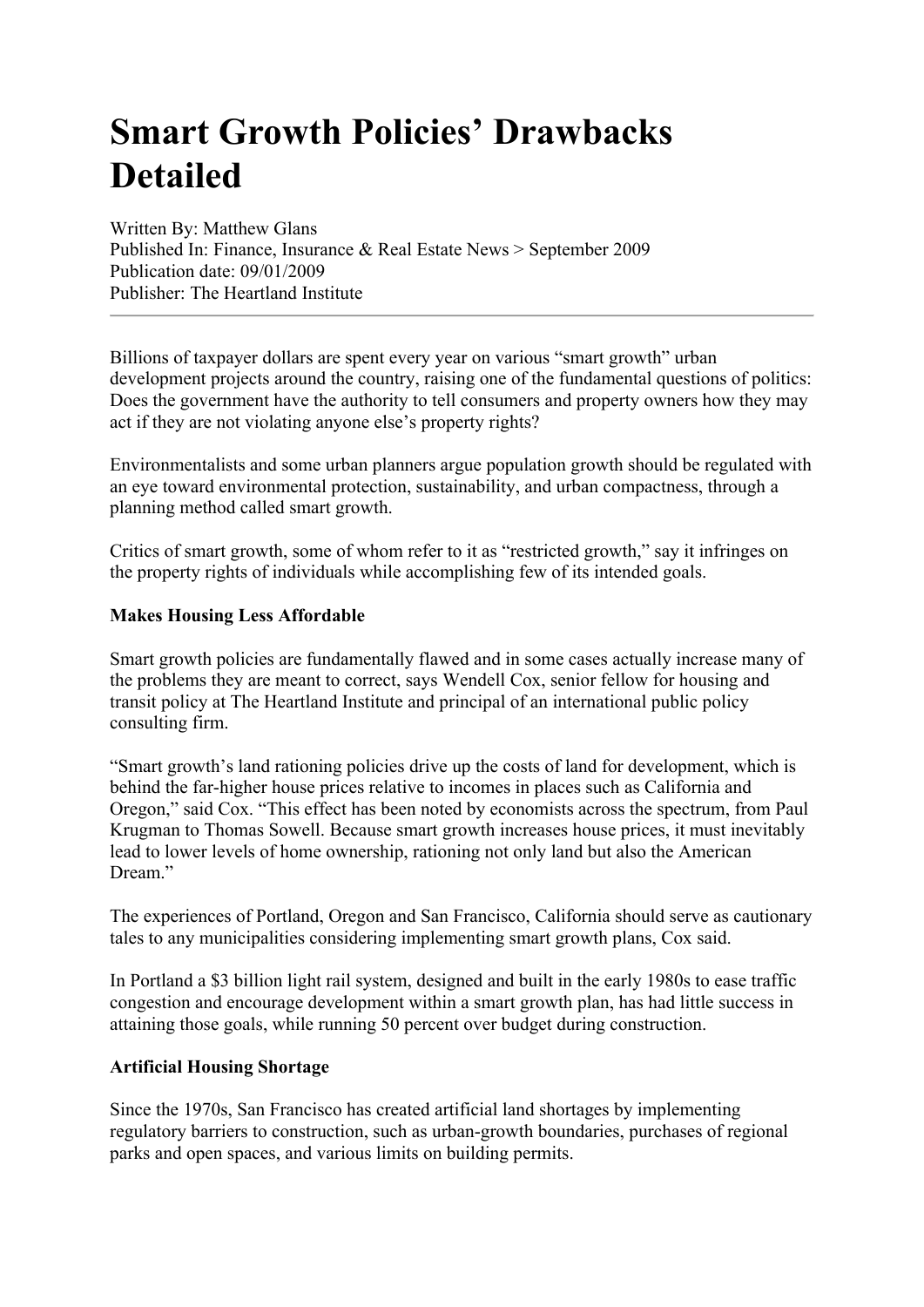## **Smart Growth Policies' Drawbacks Detailed**

Written By: Matthew Glans Published In: Finance, Insurance & Real Estate News > September 2009 Publication date: 09/01/2009 Publisher: The Heartland Institute

Billions of taxpayer dollars are spent every year on various "smart growth" urban development projects around the country, raising one of the fundamental questions of politics: Does the government have the authority to tell consumers and property owners how they may act if they are not violating anyone else's property rights?

Environmentalists and some urban planners argue population growth should be regulated with an eye toward environmental protection, sustainability, and urban compactness, through a planning method called smart growth.

Critics of smart growth, some of whom refer to it as "restricted growth," say it infringes on the property rights of individuals while accomplishing few of its intended goals.

## **Makes Housing Less Affordable**

Smart growth policies are fundamentally flawed and in some cases actually increase many of the problems they are meant to correct, says Wendell Cox, senior fellow for housing and transit policy at The Heartland Institute and principal of an international public policy consulting firm.

"Smart growth's land rationing policies drive up the costs of land for development, which is behind the far-higher house prices relative to incomes in places such as California and Oregon," said Cox. "This effect has been noted by economists across the spectrum, from Paul Krugman to Thomas Sowell. Because smart growth increases house prices, it must inevitably lead to lower levels of home ownership, rationing not only land but also the American Dream<sup>"</sup>

The experiences of Portland, Oregon and San Francisco, California should serve as cautionary tales to any municipalities considering implementing smart growth plans, Cox said.

In Portland a \$3 billion light rail system, designed and built in the early 1980s to ease traffic congestion and encourage development within a smart growth plan, has had little success in attaining those goals, while running 50 percent over budget during construction.

## **Artificial Housing Shortage**

Since the 1970s, San Francisco has created artificial land shortages by implementing regulatory barriers to construction, such as urban-growth boundaries, purchases of regional parks and open spaces, and various limits on building permits.